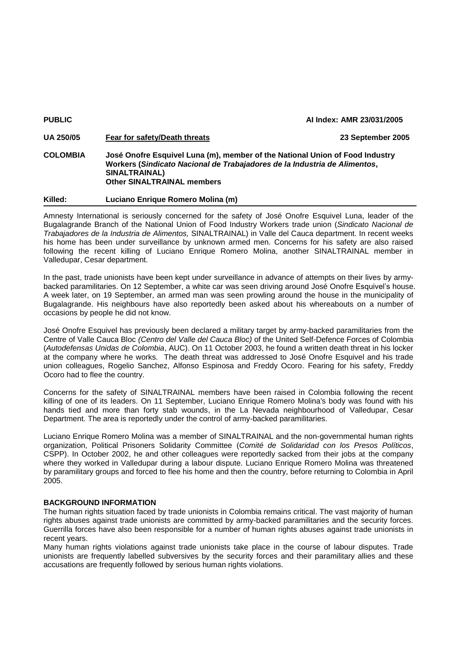| <b>PUBLIC</b>    |                                                                                                                                                                                                                 | Al Index: AMR 23/031/2005 |
|------------------|-----------------------------------------------------------------------------------------------------------------------------------------------------------------------------------------------------------------|---------------------------|
| <b>UA 250/05</b> | Fear for safety/Death threats                                                                                                                                                                                   | 23 September 2005         |
| <b>COLOMBIA</b>  | José Onofre Esquivel Luna (m), member of the National Union of Food Industry<br>Workers (Sindicato Nacional de Trabajadores de la Industria de Alimentos,<br>SINALTRAINAL)<br><b>Other SINALTRAINAL members</b> |                           |
| Killed:          | Luciano Enrique Romero Molina (m)                                                                                                                                                                               |                           |

Amnesty International is seriously concerned for the safety of José Onofre Esquivel Luna, leader of the Bugalagrande Branch of the National Union of Food Industry Workers trade union (*Sindicato Nacional de Trabajadores de la Industria de Alimentos,* SINALTRAINAL) in Valle del Cauca department. In recent weeks his home has been under surveillance by unknown armed men. Concerns for his safety are also raised following the recent killing of Luciano Enrique Romero Molina, another SINALTRAINAL member in Valledupar, Cesar department.

In the past, trade unionists have been kept under surveillance in advance of attempts on their lives by armybacked paramilitaries. On 12 September, a white car was seen driving around José Onofre Esquivel's house. A week later, on 19 September, an armed man was seen prowling around the house in the municipality of Bugalagrande. His neighbours have also reportedly been asked about his whereabouts on a number of occasions by people he did not know.

José Onofre Esquivel has previously been declared a military target by army-backed paramilitaries from the Centre of Valle Cauca Bloc *(Centro del Valle del Cauca Bloc)* of the United Self-Defence Forces of Colombia (*Autodefensas Unidas de Colombia*, AUC). On 11 October 2003, he found a written death threat in his locker at the company where he works. The death threat was addressed to José Onofre Esquivel and his trade union colleagues, Rogelio Sanchez, Alfonso Espinosa and Freddy Ocoro. Fearing for his safety, Freddy Ocoro had to flee the country.

Concerns for the safety of SINALTRAINAL members have been raised in Colombia following the recent killing of one of its leaders. On 11 September, Luciano Enrique Romero Molina's body was found with his hands tied and more than forty stab wounds, in the La Nevada neighbourhood of Valledupar, Cesar Department. The area is reportedly under the control of army-backed paramilitaries.

Luciano Enrique Romero Molina was a member of SINALTRAINAL and the non-governmental human rights organization, Political Prisoners Solidarity Committee (*Comité de Solidaridad con los Presos Políticos*, CSPP). In October 2002, he and other colleagues were reportedly sacked from their jobs at the company where they worked in Valledupar during a labour dispute. Luciano Enrique Romero Molina was threatened by paramilitary groups and forced to flee his home and then the country, before returning to Colombia in April 2005.

## **BACKGROUND INFORMATION**

The human rights situation faced by trade unionists in Colombia remains critical. The vast majority of human rights abuses against trade unionists are committed by army-backed paramilitaries and the security forces. Guerrilla forces have also been responsible for a number of human rights abuses against trade unionists in recent years.

Many human rights violations against trade unionists take place in the course of labour disputes. Trade unionists are frequently labelled subversives by the security forces and their paramilitary allies and these accusations are frequently followed by serious human rights violations.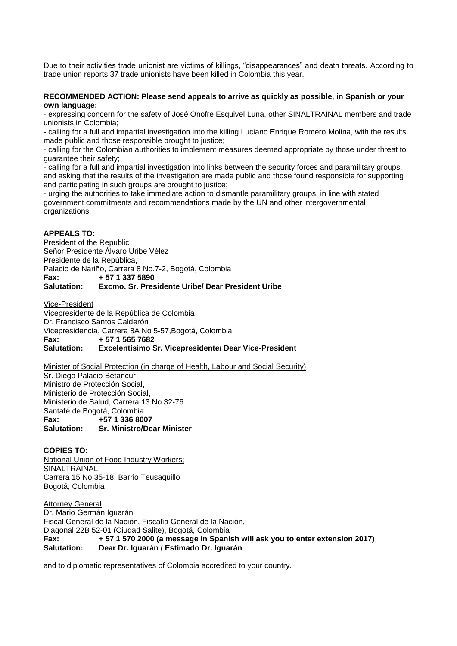Due to their activities trade unionist are victims of killings, "disappearances" and death threats. According to trade union reports 37 trade unionists have been killed in Colombia this year.

## **RECOMMENDED ACTION: Please send appeals to arrive as quickly as possible, in Spanish or your own language:**

- expressing concern for the safety of José Onofre Esquivel Luna, other SINALTRAINAL members and trade unionists in Colombia;

- calling for a full and impartial investigation into the killing Luciano Enrique Romero Molina, with the results made public and those responsible brought to justice;

- calling for the Colombian authorities to implement measures deemed appropriate by those under threat to guarantee their safety;

- calling for a full and impartial investigation into links between the security forces and paramilitary groups, and asking that the results of the investigation are made public and those found responsible for supporting and participating in such groups are brought to justice;

- urging the authorities to take immediate action to dismantle paramilitary groups, in line with stated government commitments and recommendations made by the UN and other intergovernmental organizations.

## **APPEALS TO:**

President of the Republic Señor Presidente Álvaro Uribe Vélez Presidente de la República, Palacio de Nariño, Carrera 8 No.7-2, Bogotá, Colombia **Fax: + 57 1 337 5890 Salutation: Excmo. Sr. Presidente Uribe/ Dear President Uribe**

Vice-President

Vicepresidente de la República de Colombia Dr. Francisco Santos Calderón Vicepresidencia, Carrera 8A No 5-57,Bogotá, Colombia **Fax: + 57 1 565 7682 Excelentísimo Sr. Vicepresidente/ Dear Vice-President** 

Minister of Social Protection (in charge of Health, Labour and Social Security) Sr. Diego Palacio Betancur Ministro de Protección Social, Ministerio de Protección Social,

Ministerio de Salud, Carrera 13 No 32-76 Santafé de Bogotá, Colombia **Fax: +57 1 336 8007 Salutation: Sr. Ministro/Dear Minister**

## **COPIES TO:**

National Union of Food Industry Workers; **SINALTRAINAL** Carrera 15 No 35-18, Barrio Teusaquillo Bogotá, Colombia

Attorney General Dr. Mario Germán Iguarán Fiscal General de la Nación, Fiscalía General de la Nación, Diagonal 22B 52-01 (Ciudad Salite), Bogotá, Colombia **Fax: + 57 1 570 2000 (a message in Spanish will ask you to enter extension 2017) Salutation: Dear Dr. Iguarán / Estimado Dr. Iguarán**

and to diplomatic representatives of Colombia accredited to your country.